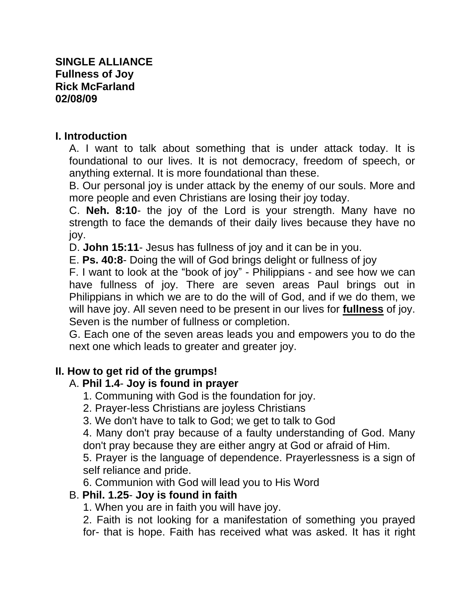#### **I. Introduction**

A. I want to talk about something that is under attack today. It is foundational to our lives. It is not democracy, freedom of speech, or anything external. It is more foundational than these.

B. Our personal joy is under attack by the enemy of our souls. More and more people and even Christians are losing their joy today.

C. **Neh. 8:10**- the joy of the Lord is your strength. Many have no strength to face the demands of their daily lives because they have no joy.

D. **John 15:11**- Jesus has fullness of joy and it can be in you.

E. **Ps. 40:8**- Doing the will of God brings delight or fullness of joy

F. I want to look at the "book of joy" - Philippians - and see how we can have fullness of joy. There are seven areas Paul brings out in Philippians in which we are to do the will of God, and if we do them, we will have joy. All seven need to be present in our lives for **fullness** of joy. Seven is the number of fullness or completion.

G. Each one of the seven areas leads you and empowers you to do the next one which leads to greater and greater joy.

### **II. How to get rid of the grumps!**

# A. **Phil 1.4**- **Joy is found in prayer**

- 1. Communing with God is the foundation for joy.
- 2. Prayer-less Christians are joyless Christians

3. We don't have to talk to God; we get to talk to God

4. Many don't pray because of a faulty understanding of God. Many don't pray because they are either angry at God or afraid of Him.

5. Prayer is the language of dependence. Prayerlessness is a sign of self reliance and pride.

6. Communion with God will lead you to His Word

### B. **Phil. 1.25**- **Joy is found in faith**

1. When you are in faith you will have joy.

2. Faith is not looking for a manifestation of something you prayed for- that is hope. Faith has received what was asked. It has it right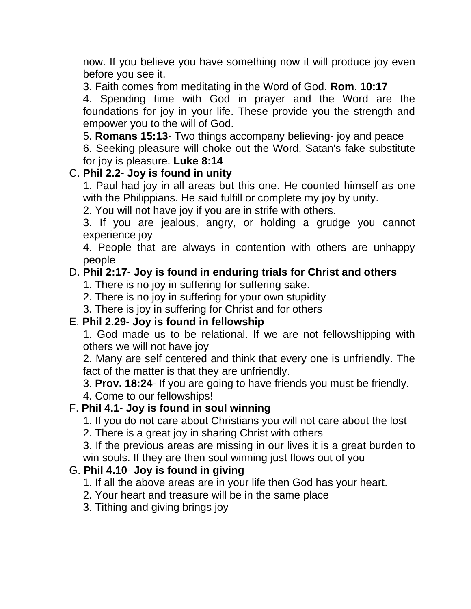now. If you believe you have something now it will produce joy even before you see it.

3. Faith comes from meditating in the Word of God. **Rom. 10:17**

4. Spending time with God in prayer and the Word are the foundations for joy in your life. These provide you the strength and empower you to the will of God.

5. **Romans 15:13**- Two things accompany believing- joy and peace 6. Seeking pleasure will choke out the Word. Satan's fake substitute for joy is pleasure. **Luke 8:14**

### C. **Phil 2.2**- **Joy is found in unity**

1. Paul had joy in all areas but this one. He counted himself as one with the Philippians. He said fulfill or complete my joy by unity.

2. You will not have joy if you are in strife with others.

3. If you are jealous, angry, or holding a grudge you cannot experience joy

4. People that are always in contention with others are unhappy people

## D. **Phil 2:17**- **Joy is found in enduring trials for Christ and others**

1. There is no joy in suffering for suffering sake.

2. There is no joy in suffering for your own stupidity

3. There is joy in suffering for Christ and for others

### E. **Phil 2.29**- **Joy is found in fellowship**

1. God made us to be relational. If we are not fellowshipping with others we will not have joy

2. Many are self centered and think that every one is unfriendly. The fact of the matter is that they are unfriendly.

3. **Prov. 18:24**- If you are going to have friends you must be friendly.

4. Come to our fellowships!

### F. **Phil 4.1**- **Joy is found in soul winning**

1. If you do not care about Christians you will not care about the lost

2. There is a great joy in sharing Christ with others

3. If the previous areas are missing in our lives it is a great burden to win souls. If they are then soul winning just flows out of you

# G. **Phil 4.10**- **Joy is found in giving**

1. If all the above areas are in your life then God has your heart.

- 2. Your heart and treasure will be in the same place
- 3. Tithing and giving brings joy